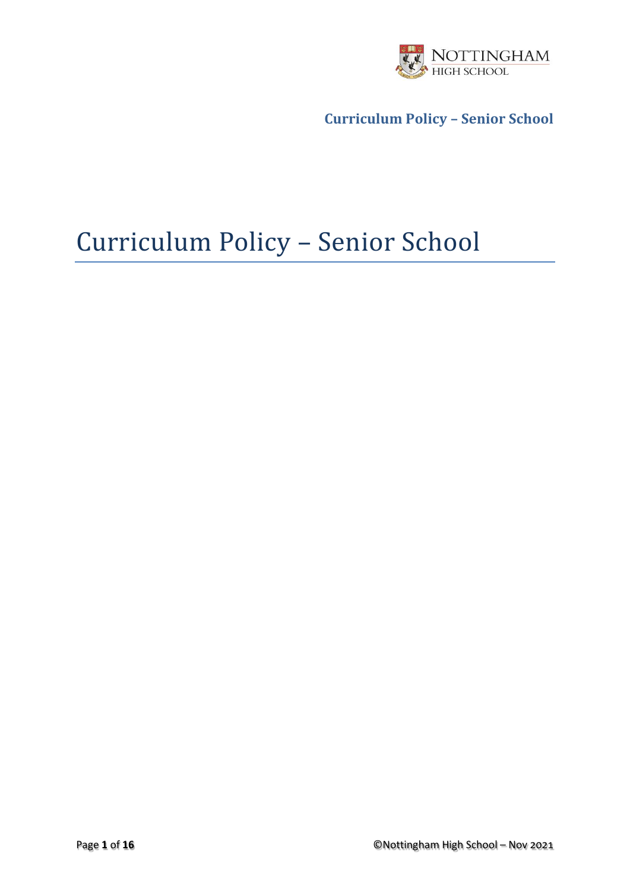

# Curriculum Policy – Senior School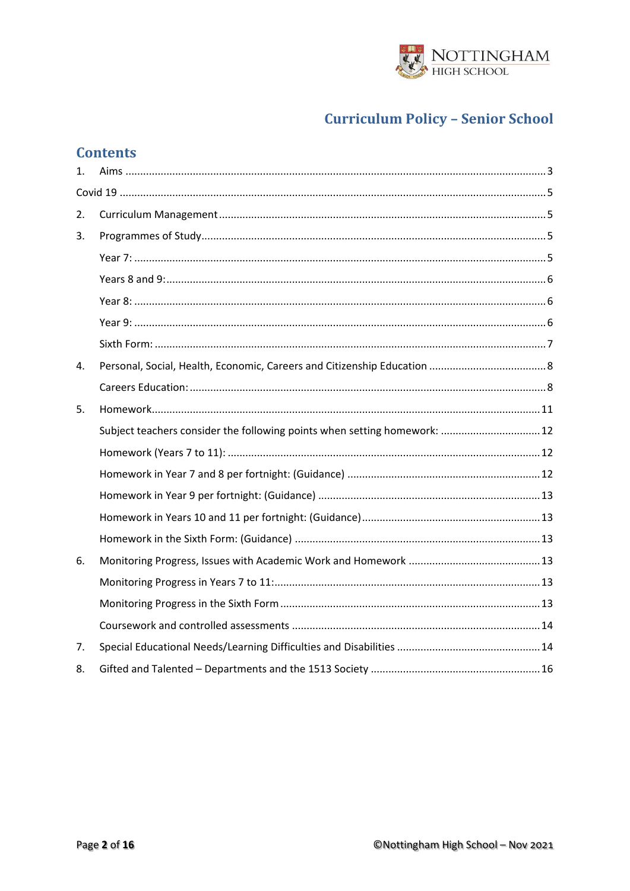

# **Contents**

| 1. |                                                                           |  |  |  |  |  |
|----|---------------------------------------------------------------------------|--|--|--|--|--|
|    |                                                                           |  |  |  |  |  |
| 2. |                                                                           |  |  |  |  |  |
| 3. |                                                                           |  |  |  |  |  |
|    |                                                                           |  |  |  |  |  |
|    |                                                                           |  |  |  |  |  |
|    |                                                                           |  |  |  |  |  |
|    |                                                                           |  |  |  |  |  |
|    |                                                                           |  |  |  |  |  |
| 4. |                                                                           |  |  |  |  |  |
|    |                                                                           |  |  |  |  |  |
| 5. |                                                                           |  |  |  |  |  |
|    | Subject teachers consider the following points when setting homework:  12 |  |  |  |  |  |
|    |                                                                           |  |  |  |  |  |
|    |                                                                           |  |  |  |  |  |
|    |                                                                           |  |  |  |  |  |
|    |                                                                           |  |  |  |  |  |
|    |                                                                           |  |  |  |  |  |
| 6. |                                                                           |  |  |  |  |  |
|    |                                                                           |  |  |  |  |  |
|    |                                                                           |  |  |  |  |  |
|    |                                                                           |  |  |  |  |  |
| 7. |                                                                           |  |  |  |  |  |
| 8. |                                                                           |  |  |  |  |  |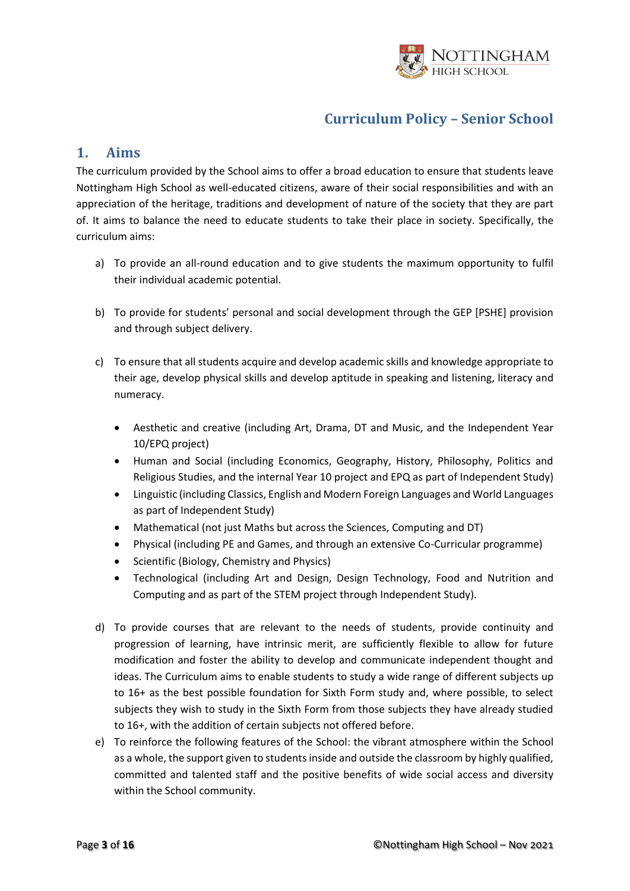

### <span id="page-2-0"></span>**1. Aims**

The curriculum provided by the School aims to offer a broad education to ensure that students leave Nottingham High School as well-educated citizens, aware of their social responsibilities and with an appreciation of the heritage, traditions and development of nature of the society that they are part of. It aims to balance the need to educate students to take their place in society. Specifically, the curriculum aims:

- a) To provide an all-round education and to give students the maximum opportunity to fulfil their individual academic potential.
- b) To provide for students' personal and social development through the GEP [PSHE] provision and through subject delivery.
- c) To ensure that all students acquire and develop academic skills and knowledge appropriate to their age, develop physical skills and develop aptitude in speaking and listening, literacy and numeracy.
	- Aesthetic and creative (including Art, Drama, DT and Music, and the Independent Year 10/EPQ project)
	- Human and Social (including Economics, Geography, History, Philosophy, Politics and Religious Studies, and the internal Year 10 project and EPQ as part of Independent Study)
	- Linguistic (including Classics, English and Modern Foreign Languages and World Languages as part of Independent Study)
	- Mathematical (not just Maths but across the Sciences, Computing and DT)
	- Physical (including PE and Games, and through an extensive Co-Curricular programme)
	- Scientific (Biology, Chemistry and Physics)
	- Technological (including Art and Design, Design Technology, Food and Nutrition and Computing and as part of the STEM project through Independent Study).
- d) To provide courses that are relevant to the needs of students, provide continuity and progression of learning, have intrinsic merit, are sufficiently flexible to allow for future modification and foster the ability to develop and communicate independent thought and ideas. The Curriculum aims to enable students to study a wide range of different subjects up to 16+ as the best possible foundation for Sixth Form study and, where possible, to select subjects they wish to study in the Sixth Form from those subjects they have already studied to 16+, with the addition of certain subjects not offered before.
- e) To reinforce the following features of the School: the vibrant atmosphere within the School as a whole, the support given to students inside and outside the classroom by highly qualified, committed and talented staff and the positive benefits of wide social access and diversity within the School community.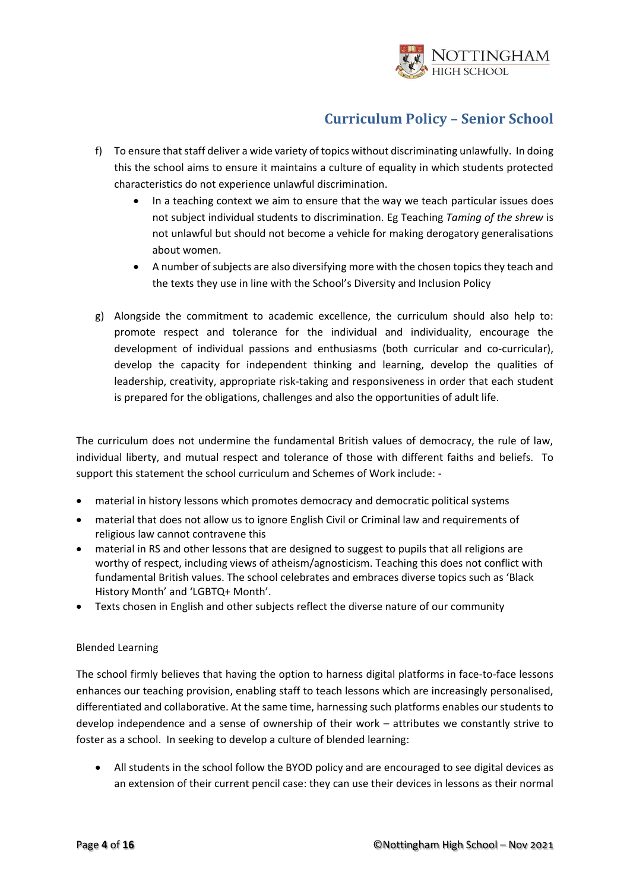

- f) To ensure that staff deliver a wide variety of topics without discriminating unlawfully. In doing this the school aims to ensure it maintains a culture of equality in which students protected characteristics do not experience unlawful discrimination.
	- In a teaching context we aim to ensure that the way we teach particular issues does not subject individual students to discrimination. Eg Teaching *Taming of the shrew* is not unlawful but should not become a vehicle for making derogatory generalisations about women.
	- A number of subjects are also diversifying more with the chosen topics they teach and the texts they use in line with the School's Diversity and Inclusion Policy
- g) Alongside the commitment to academic excellence, the curriculum should also help to: promote respect and tolerance for the individual and individuality, encourage the development of individual passions and enthusiasms (both curricular and co-curricular), develop the capacity for independent thinking and learning, develop the qualities of leadership, creativity, appropriate risk-taking and responsiveness in order that each student is prepared for the obligations, challenges and also the opportunities of adult life.

The curriculum does not undermine the fundamental British values of democracy, the rule of law, individual liberty, and mutual respect and tolerance of those with different faiths and beliefs. To support this statement the school curriculum and Schemes of Work include: -

- material in history lessons which promotes democracy and democratic political systems
- material that does not allow us to ignore English Civil or Criminal law and requirements of religious law cannot contravene this
- material in RS and other lessons that are designed to suggest to pupils that all religions are worthy of respect, including views of atheism/agnosticism. Teaching this does not conflict with fundamental British values. The school celebrates and embraces diverse topics such as 'Black History Month' and 'LGBTQ+ Month'.
- Texts chosen in English and other subjects reflect the diverse nature of our community

### Blended Learning

The school firmly believes that having the option to harness digital platforms in face-to-face lessons enhances our teaching provision, enabling staff to teach lessons which are increasingly personalised, differentiated and collaborative. At the same time, harnessing such platforms enables our students to develop independence and a sense of ownership of their work – attributes we constantly strive to foster as a school. In seeking to develop a culture of blended learning:

• All students in the school follow the BYOD policy and are encouraged to see digital devices as an extension of their current pencil case: they can use their devices in lessons as their normal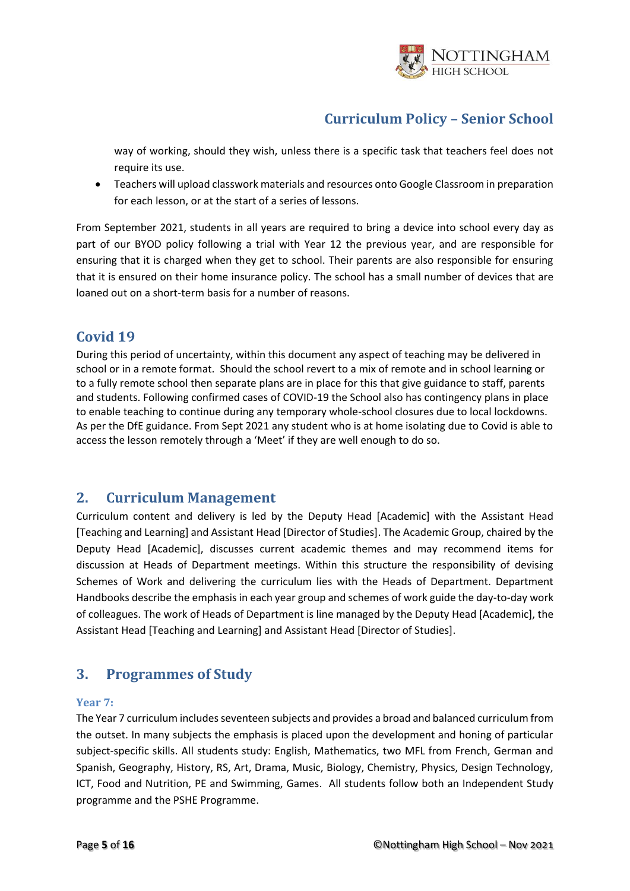

way of working, should they wish, unless there is a specific task that teachers feel does not require its use.

• Teachers will upload classwork materials and resources onto Google Classroom in preparation for each lesson, or at the start of a series of lessons.

From September 2021, students in all years are required to bring a device into school every day as part of our BYOD policy following a trial with Year 12 the previous year, and are responsible for ensuring that it is charged when they get to school. Their parents are also responsible for ensuring that it is ensured on their home insurance policy. The school has a small number of devices that are loaned out on a short-term basis for a number of reasons.

### <span id="page-4-0"></span>**Covid 19**

During this period of uncertainty, within this document any aspect of teaching may be delivered in school or in a remote format. Should the school revert to a mix of remote and in school learning or to a fully remote school then separate plans are in place for this that give guidance to staff, parents and students. Following confirmed cases of COVID-19 the School also has contingency plans in place to enable teaching to continue during any temporary whole-school closures due to local lockdowns. As per the DfE guidance. From Sept 2021 any student who is at home isolating due to Covid is able to access the lesson remotely through a 'Meet' if they are well enough to do so.

### <span id="page-4-1"></span>**2. Curriculum Management**

Curriculum content and delivery is led by the Deputy Head [Academic] with the Assistant Head [Teaching and Learning] and Assistant Head [Director of Studies]. The Academic Group, chaired by the Deputy Head [Academic], discusses current academic themes and may recommend items for discussion at Heads of Department meetings. Within this structure the responsibility of devising Schemes of Work and delivering the curriculum lies with the Heads of Department. Department Handbooks describe the emphasis in each year group and schemes of work guide the day-to-day work of colleagues. The work of Heads of Department is line managed by the Deputy Head [Academic], the Assistant Head [Teaching and Learning] and Assistant Head [Director of Studies].

# <span id="page-4-2"></span>**3. Programmes of Study**

### <span id="page-4-3"></span>**Year 7:**

The Year 7 curriculum includes seventeen subjects and provides a broad and balanced curriculum from the outset. In many subjects the emphasis is placed upon the development and honing of particular subject-specific skills. All students study: English, Mathematics, two MFL from French, German and Spanish, Geography, History, RS, Art, Drama, Music, Biology, Chemistry, Physics, Design Technology, ICT, Food and Nutrition, PE and Swimming, Games. All students follow both an Independent Study programme and the PSHE Programme.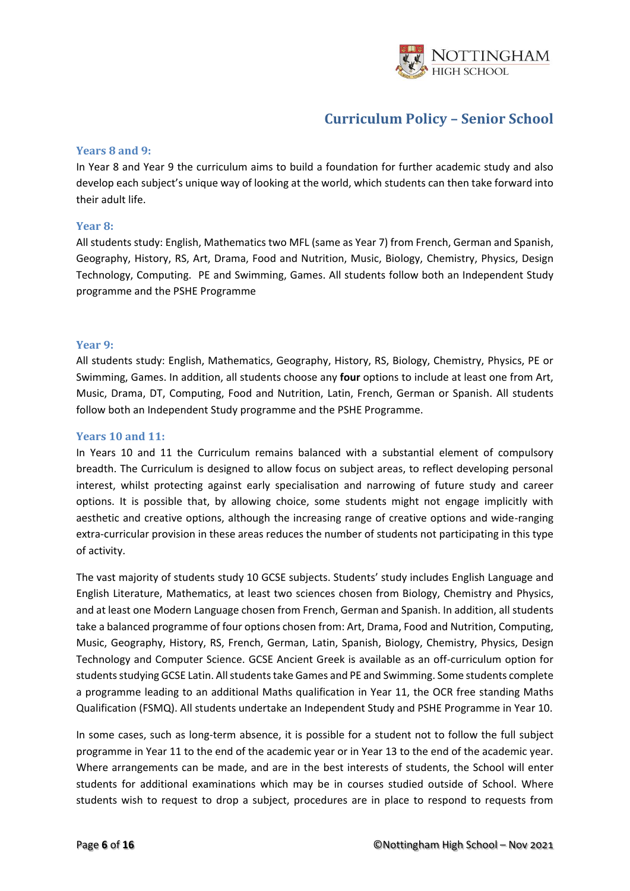

### <span id="page-5-0"></span>**Years 8 and 9:**

In Year 8 and Year 9 the curriculum aims to build a foundation for further academic study and also develop each subject's unique way of looking at the world, which students can then take forward into their adult life.

#### <span id="page-5-1"></span>**Year 8:**

All students study: English, Mathematics two MFL (same as Year 7) from French, German and Spanish, Geography, History, RS, Art, Drama, Food and Nutrition, Music, Biology, Chemistry, Physics, Design Technology, Computing. PE and Swimming, Games. All students follow both an Independent Study programme and the PSHE Programme

#### <span id="page-5-2"></span>**Year 9:**

All students study: English, Mathematics, Geography, History, RS, Biology, Chemistry, Physics, PE or Swimming, Games. In addition, all students choose any **four** options to include at least one from Art, Music, Drama, DT, Computing, Food and Nutrition, Latin, French, German or Spanish. All students follow both an Independent Study programme and the PSHE Programme.

### **Years 10 and 11:**

In Years 10 and 11 the Curriculum remains balanced with a substantial element of compulsory breadth. The Curriculum is designed to allow focus on subject areas, to reflect developing personal interest, whilst protecting against early specialisation and narrowing of future study and career options. It is possible that, by allowing choice, some students might not engage implicitly with aesthetic and creative options, although the increasing range of creative options and wide-ranging extra-curricular provision in these areas reduces the number of students not participating in this type of activity.

The vast majority of students study 10 GCSE subjects. Students' study includes English Language and English Literature, Mathematics, at least two sciences chosen from Biology, Chemistry and Physics, and at least one Modern Language chosen from French, German and Spanish. In addition, all students take a balanced programme of four options chosen from: Art, Drama, Food and Nutrition, Computing, Music, Geography, History, RS, French, German, Latin, Spanish, Biology, Chemistry, Physics, Design Technology and Computer Science. GCSE Ancient Greek is available as an off-curriculum option for students studying GCSE Latin. All students take Games and PE and Swimming. Some students complete a programme leading to an additional Maths qualification in Year 11, the OCR free standing Maths Qualification (FSMQ). All students undertake an Independent Study and PSHE Programme in Year 10.

In some cases, such as long-term absence, it is possible for a student not to follow the full subject programme in Year 11 to the end of the academic year or in Year 13 to the end of the academic year. Where arrangements can be made, and are in the best interests of students, the School will enter students for additional examinations which may be in courses studied outside of School. Where students wish to request to drop a subject, procedures are in place to respond to requests from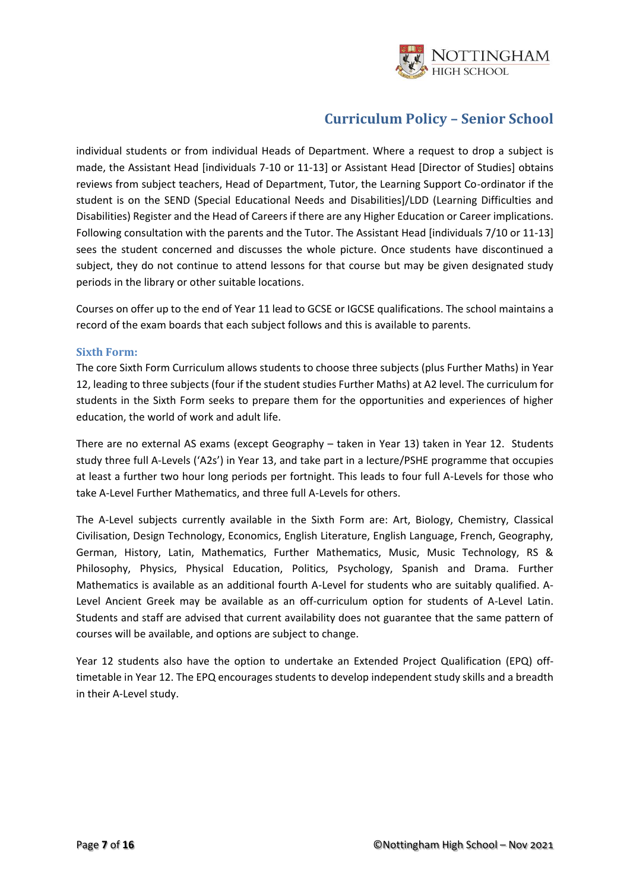

individual students or from individual Heads of Department. Where a request to drop a subject is made, the Assistant Head [individuals 7-10 or 11-13] or Assistant Head [Director of Studies] obtains reviews from subject teachers, Head of Department, Tutor, the Learning Support Co-ordinator if the student is on the SEND (Special Educational Needs and Disabilities]/LDD (Learning Difficulties and Disabilities) Register and the Head of Careers if there are any Higher Education or Career implications. Following consultation with the parents and the Tutor. The Assistant Head [individuals 7/10 or 11-13] sees the student concerned and discusses the whole picture. Once students have discontinued a subject, they do not continue to attend lessons for that course but may be given designated study periods in the library or other suitable locations.

Courses on offer up to the end of Year 11 lead to GCSE or IGCSE qualifications. The school maintains a record of the exam boards that each subject follows and this is available to parents.

### <span id="page-6-0"></span>**Sixth Form:**

The core Sixth Form Curriculum allows students to choose three subjects (plus Further Maths) in Year 12, leading to three subjects (four if the student studies Further Maths) at A2 level. The curriculum for students in the Sixth Form seeks to prepare them for the opportunities and experiences of higher education, the world of work and adult life.

There are no external AS exams (except Geography – taken in Year 13) taken in Year 12. Students study three full A-Levels ('A2s') in Year 13, and take part in a lecture/PSHE programme that occupies at least a further two hour long periods per fortnight. This leads to four full A-Levels for those who take A-Level Further Mathematics, and three full A-Levels for others.

The A-Level subjects currently available in the Sixth Form are: Art, Biology, Chemistry, Classical Civilisation, Design Technology, Economics, English Literature, English Language, French, Geography, German, History, Latin, Mathematics, Further Mathematics, Music, Music Technology, RS & Philosophy, Physics, Physical Education, Politics, Psychology, Spanish and Drama. Further Mathematics is available as an additional fourth A-Level for students who are suitably qualified. A-Level Ancient Greek may be available as an off-curriculum option for students of A-Level Latin. Students and staff are advised that current availability does not guarantee that the same pattern of courses will be available, and options are subject to change.

Year 12 students also have the option to undertake an Extended Project Qualification (EPQ) offtimetable in Year 12. The EPQ encourages students to develop independent study skills and a breadth in their A-Level study.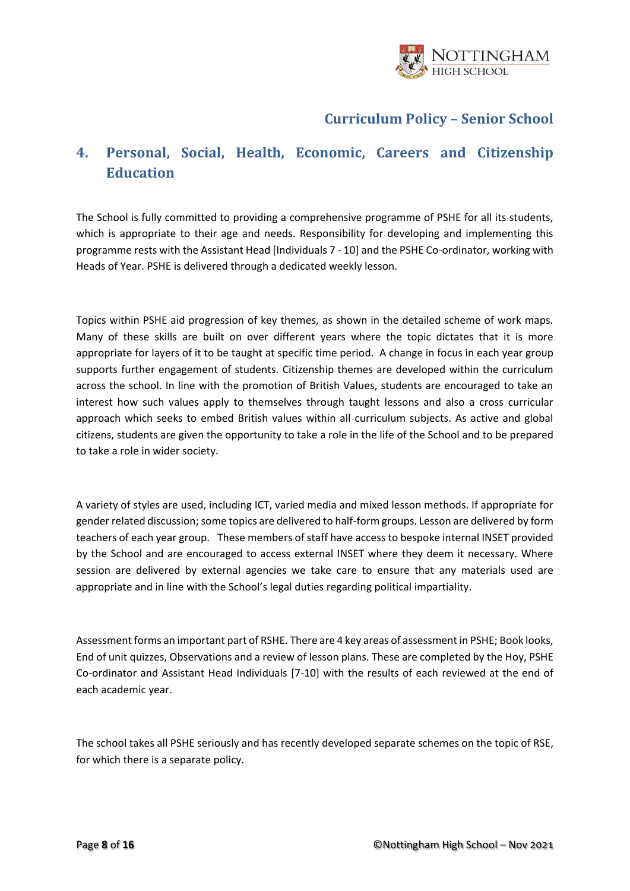

# <span id="page-7-0"></span>**4. Personal, Social, Health, Economic, Careers and Citizenship Education**

<span id="page-7-1"></span>The School is fully committed to providing a comprehensive programme of PSHE for all its students, which is appropriate to their age and needs. Responsibility for developing and implementing this programme rests with the Assistant Head [Individuals 7 - 10] and the PSHE Co-ordinator, working with Heads of Year. PSHE is delivered through a dedicated weekly lesson.

Topics within PSHE aid progression of key themes, as shown in the detailed scheme of work maps. Many of these skills are built on over different years where the topic dictates that it is more appropriate for layers of it to be taught at specific time period. A change in focus in each year group supports further engagement of students. Citizenship themes are developed within the curriculum across the school. In line with the promotion of British Values, students are encouraged to take an interest how such values apply to themselves through taught lessons and also a cross curricular approach which seeks to embed British values within all curriculum subjects. As active and global citizens, students are given the opportunity to take a role in the life of the School and to be prepared to take a role in wider society.

A variety of styles are used, including ICT, varied media and mixed lesson methods. If appropriate for gender related discussion; some topics are delivered to half-form groups. Lesson are delivered by form teachers of each year group. These members of staff have access to bespoke internal INSET provided by the School and are encouraged to access external INSET where they deem it necessary. Where session are delivered by external agencies we take care to ensure that any materials used are appropriate and in line with the School's legal duties regarding political impartiality.

Assessment forms an important part of RSHE. There are 4 key areas of assessment in PSHE; Book looks, End of unit quizzes, Observations and a review of lesson plans. These are completed by the Hoy, PSHE Co-ordinator and Assistant Head Individuals [7-10] with the results of each reviewed at the end of each academic year.

The school takes all PSHE seriously and has recently developed separate schemes on the topic of RSE, for which there is a separate policy.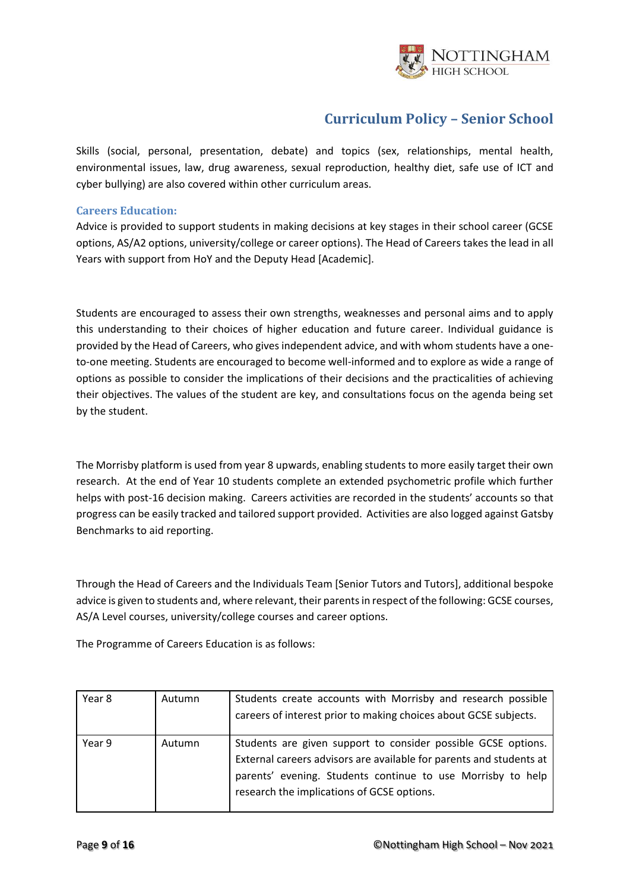

Skills (social, personal, presentation, debate) and topics (sex, relationships, mental health, environmental issues, law, drug awareness, sexual reproduction, healthy diet, safe use of ICT and cyber bullying) are also covered within other curriculum areas.

### **Careers Education:**

Advice is provided to support students in making decisions at key stages in their school career (GCSE options, AS/A2 options, university/college or career options). The Head of Careers takes the lead in all Years with support from HoY and the Deputy Head [Academic].

Students are encouraged to assess their own strengths, weaknesses and personal aims and to apply this understanding to their choices of higher education and future career. Individual guidance is provided by the Head of Careers, who gives independent advice, and with whom students have a oneto-one meeting. Students are encouraged to become well-informed and to explore as wide a range of options as possible to consider the implications of their decisions and the practicalities of achieving their objectives. The values of the student are key, and consultations focus on the agenda being set by the student.

The Morrisby platform is used from year 8 upwards, enabling students to more easily target their own research. At the end of Year 10 students complete an extended psychometric profile which further helps with post-16 decision making. Careers activities are recorded in the students' accounts so that progress can be easily tracked and tailored support provided. Activities are also logged against Gatsby Benchmarks to aid reporting.

Through the Head of Careers and the Individuals Team [Senior Tutors and Tutors], additional bespoke advice is given to students and, where relevant, their parents in respect of the following: GCSE courses, AS/A Level courses, university/college courses and career options.

The Programme of Careers Education is as follows:

| Year 8 | Autumn | Students create accounts with Morrisby and research possible<br>careers of interest prior to making choices about GCSE subjects.                                                                                                                  |
|--------|--------|---------------------------------------------------------------------------------------------------------------------------------------------------------------------------------------------------------------------------------------------------|
| Year 9 | Autumn | Students are given support to consider possible GCSE options.<br>External careers advisors are available for parents and students at<br>parents' evening. Students continue to use Morrisby to help<br>research the implications of GCSE options. |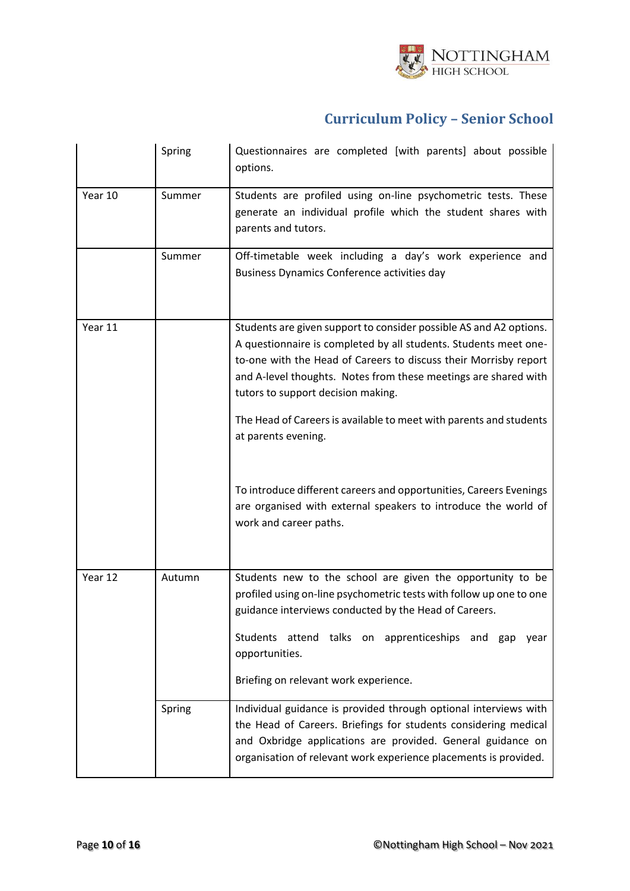

|         | Spring | Questionnaires are completed [with parents] about possible<br>options.                                                                                                                                                                                                                                                                                                                                           |
|---------|--------|------------------------------------------------------------------------------------------------------------------------------------------------------------------------------------------------------------------------------------------------------------------------------------------------------------------------------------------------------------------------------------------------------------------|
| Year 10 | Summer | Students are profiled using on-line psychometric tests. These<br>generate an individual profile which the student shares with<br>parents and tutors.                                                                                                                                                                                                                                                             |
|         | Summer | Off-timetable week including a day's work experience and<br>Business Dynamics Conference activities day                                                                                                                                                                                                                                                                                                          |
| Year 11 |        | Students are given support to consider possible AS and A2 options.<br>A questionnaire is completed by all students. Students meet one-<br>to-one with the Head of Careers to discuss their Morrisby report<br>and A-level thoughts. Notes from these meetings are shared with<br>tutors to support decision making.<br>The Head of Careers is available to meet with parents and students<br>at parents evening. |
|         |        | To introduce different careers and opportunities, Careers Evenings<br>are organised with external speakers to introduce the world of<br>work and career paths.                                                                                                                                                                                                                                                   |
| Year 12 | Autumn | Students new to the school are given the opportunity to be<br>profiled using on-line psychometric tests with follow up one to one<br>guidance interviews conducted by the Head of Careers.<br>Students attend talks on apprenticeships and gap<br>year<br>opportunities.<br>Briefing on relevant work experience.                                                                                                |
|         | Spring | Individual guidance is provided through optional interviews with<br>the Head of Careers. Briefings for students considering medical<br>and Oxbridge applications are provided. General guidance on<br>organisation of relevant work experience placements is provided.                                                                                                                                           |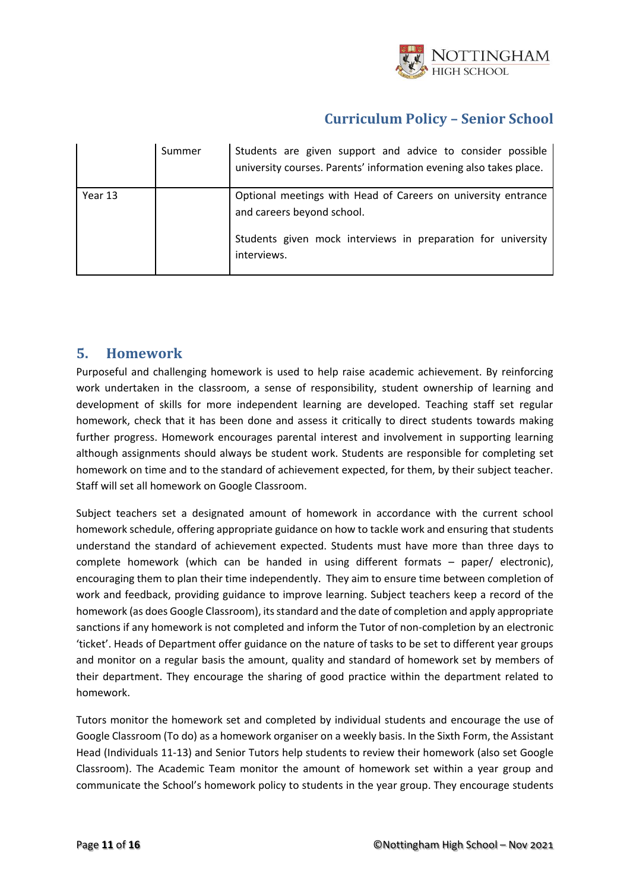

|         | Summer | Students are given support and advice to consider possible<br>university courses. Parents' information evening also takes place.                                           |
|---------|--------|----------------------------------------------------------------------------------------------------------------------------------------------------------------------------|
| Year 13 |        | Optional meetings with Head of Careers on university entrance<br>and careers beyond school.<br>Students given mock interviews in preparation for university<br>interviews. |

### <span id="page-10-0"></span>**5. Homework**

Purposeful and challenging homework is used to help raise academic achievement. By reinforcing work undertaken in the classroom, a sense of responsibility, student ownership of learning and development of skills for more independent learning are developed. Teaching staff set regular homework, check that it has been done and assess it critically to direct students towards making further progress. Homework encourages parental interest and involvement in supporting learning although assignments should always be student work. Students are responsible for completing set homework on time and to the standard of achievement expected, for them, by their subject teacher. Staff will set all homework on Google Classroom.

Subject teachers set a designated amount of homework in accordance with the current school homework schedule, offering appropriate guidance on how to tackle work and ensuring that students understand the standard of achievement expected. Students must have more than three days to complete homework (which can be handed in using different formats – paper/ electronic), encouraging them to plan their time independently. They aim to ensure time between completion of work and feedback, providing guidance to improve learning. Subject teachers keep a record of the homework (as does Google Classroom), its standard and the date of completion and apply appropriate sanctions if any homework is not completed and inform the Tutor of non-completion by an electronic 'ticket'. Heads of Department offer guidance on the nature of tasks to be set to different year groups and monitor on a regular basis the amount, quality and standard of homework set by members of their department. They encourage the sharing of good practice within the department related to homework.

Tutors monitor the homework set and completed by individual students and encourage the use of Google Classroom (To do) as a homework organiser on a weekly basis. In the Sixth Form, the Assistant Head (Individuals 11-13) and Senior Tutors help students to review their homework (also set Google Classroom). The Academic Team monitor the amount of homework set within a year group and communicate the School's homework policy to students in the year group. They encourage students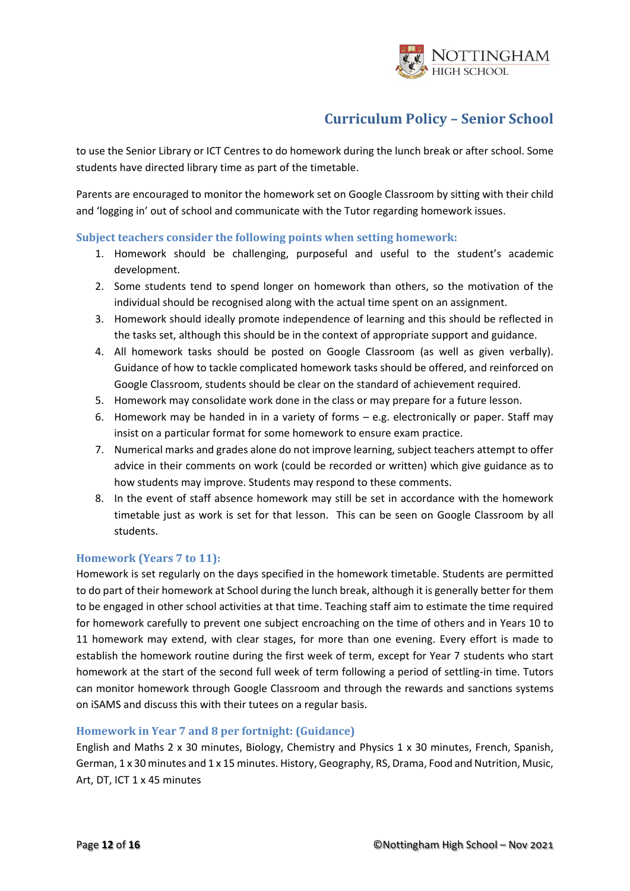

to use the Senior Library or ICT Centres to do homework during the lunch break or after school. Some students have directed library time as part of the timetable.

Parents are encouraged to monitor the homework set on Google Classroom by sitting with their child and 'logging in' out of school and communicate with the Tutor regarding homework issues.

### <span id="page-11-0"></span>**Subject teachers consider the following points when setting homework:**

- 1. Homework should be challenging, purposeful and useful to the student's academic development.
- 2. Some students tend to spend longer on homework than others, so the motivation of the individual should be recognised along with the actual time spent on an assignment.
- 3. Homework should ideally promote independence of learning and this should be reflected in the tasks set, although this should be in the context of appropriate support and guidance.
- 4. All homework tasks should be posted on Google Classroom (as well as given verbally). Guidance of how to tackle complicated homework tasks should be offered, and reinforced on Google Classroom, students should be clear on the standard of achievement required.
- 5. Homework may consolidate work done in the class or may prepare for a future lesson.
- 6. Homework may be handed in in a variety of forms e.g. electronically or paper. Staff may insist on a particular format for some homework to ensure exam practice.
- 7. Numerical marks and grades alone do not improve learning, subject teachers attempt to offer advice in their comments on work (could be recorded or written) which give guidance as to how students may improve. Students may respond to these comments.
- 8. In the event of staff absence homework may still be set in accordance with the homework timetable just as work is set for that lesson. This can be seen on Google Classroom by all students.

### <span id="page-11-1"></span>**Homework (Years 7 to 11):**

Homework is set regularly on the days specified in the homework timetable. Students are permitted to do part of their homework at School during the lunch break, although it is generally better for them to be engaged in other school activities at that time. Teaching staff aim to estimate the time required for homework carefully to prevent one subject encroaching on the time of others and in Years 10 to 11 homework may extend, with clear stages, for more than one evening. Every effort is made to establish the homework routine during the first week of term, except for Year 7 students who start homework at the start of the second full week of term following a period of settling-in time. Tutors can monitor homework through Google Classroom and through the rewards and sanctions systems on iSAMS and discuss this with their tutees on a regular basis.

### <span id="page-11-2"></span>**Homework in Year 7 and 8 per fortnight: (Guidance)**

English and Maths 2 x 30 minutes, Biology, Chemistry and Physics 1 x 30 minutes, French, Spanish, German, 1 x 30 minutes and 1 x 15 minutes. History, Geography, RS, Drama, Food and Nutrition, Music, Art, DT, ICT 1 x 45 minutes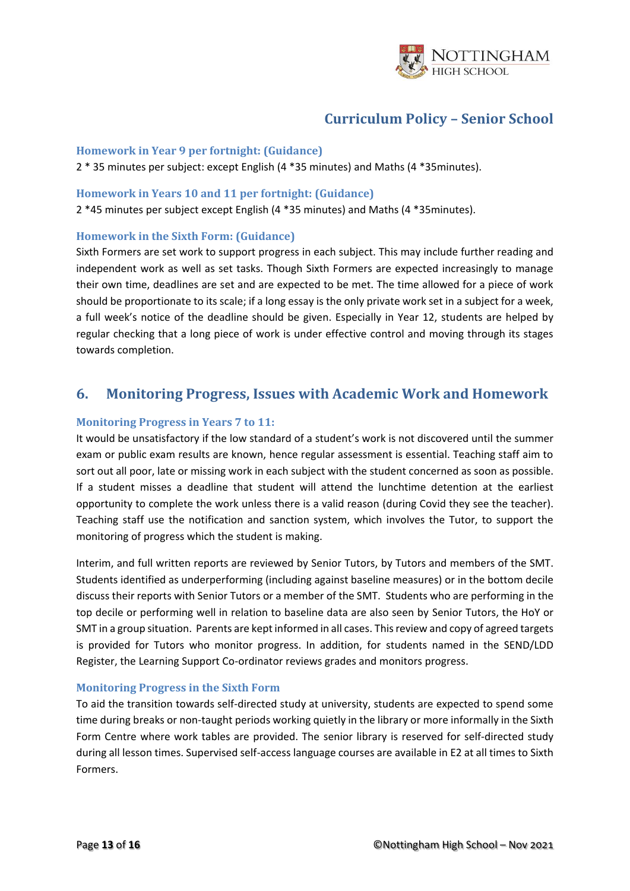

#### <span id="page-12-0"></span>**Homework in Year 9 per fortnight: (Guidance)**

2 \* 35 minutes per subject: except English (4 \*35 minutes) and Maths (4 \*35minutes).

#### <span id="page-12-1"></span>**Homework in Years 10 and 11 per fortnight: (Guidance)**

2 \*45 minutes per subject except English (4 \*35 minutes) and Maths (4 \*35minutes).

### <span id="page-12-2"></span>**Homework in the Sixth Form: (Guidance)**

Sixth Formers are set work to support progress in each subject. This may include further reading and independent work as well as set tasks. Though Sixth Formers are expected increasingly to manage their own time, deadlines are set and are expected to be met. The time allowed for a piece of work should be proportionate to its scale; if a long essay is the only private work set in a subject for a week, a full week's notice of the deadline should be given. Especially in Year 12, students are helped by regular checking that a long piece of work is under effective control and moving through its stages towards completion.

### <span id="page-12-3"></span>**6. Monitoring Progress, Issues with Academic Work and Homework**

### <span id="page-12-4"></span>**Monitoring Progress in Years 7 to 11:**

It would be unsatisfactory if the low standard of a student's work is not discovered until the summer exam or public exam results are known, hence regular assessment is essential. Teaching staff aim to sort out all poor, late or missing work in each subject with the student concerned as soon as possible. If a student misses a deadline that student will attend the lunchtime detention at the earliest opportunity to complete the work unless there is a valid reason (during Covid they see the teacher). Teaching staff use the notification and sanction system, which involves the Tutor, to support the monitoring of progress which the student is making.

Interim, and full written reports are reviewed by Senior Tutors, by Tutors and members of the SMT. Students identified as underperforming (including against baseline measures) or in the bottom decile discuss their reports with Senior Tutors or a member of the SMT. Students who are performing in the top decile or performing well in relation to baseline data are also seen by Senior Tutors, the HoY or SMT in a group situation. Parents are kept informed in all cases. This review and copy of agreed targets is provided for Tutors who monitor progress. In addition, for students named in the SEND/LDD Register, the Learning Support Co-ordinator reviews grades and monitors progress.

### <span id="page-12-5"></span>**Monitoring Progress in the Sixth Form**

To aid the transition towards self-directed study at university, students are expected to spend some time during breaks or non-taught periods working quietly in the library or more informally in the Sixth Form Centre where work tables are provided. The senior library is reserved for self-directed study during all lesson times. Supervised self-access language courses are available in E2 at all times to Sixth Formers.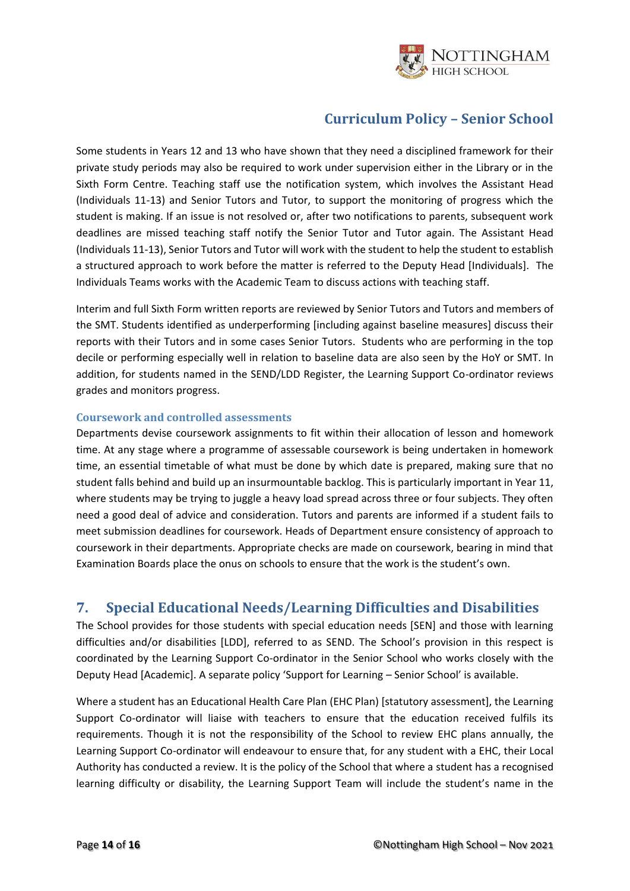

Some students in Years 12 and 13 who have shown that they need a disciplined framework for their private study periods may also be required to work under supervision either in the Library or in the Sixth Form Centre. Teaching staff use the notification system, which involves the Assistant Head (Individuals 11-13) and Senior Tutors and Tutor, to support the monitoring of progress which the student is making. If an issue is not resolved or, after two notifications to parents, subsequent work deadlines are missed teaching staff notify the Senior Tutor and Tutor again. The Assistant Head (Individuals 11-13), Senior Tutors and Tutor will work with the student to help the student to establish a structured approach to work before the matter is referred to the Deputy Head [Individuals]. The Individuals Teams works with the Academic Team to discuss actions with teaching staff.

Interim and full Sixth Form written reports are reviewed by Senior Tutors and Tutors and members of the SMT. Students identified as underperforming [including against baseline measures] discuss their reports with their Tutors and in some cases Senior Tutors. Students who are performing in the top decile or performing especially well in relation to baseline data are also seen by the HoY or SMT. In addition, for students named in the SEND/LDD Register, the Learning Support Co-ordinator reviews grades and monitors progress.

### <span id="page-13-0"></span>**Coursework and controlled assessments**

Departments devise coursework assignments to fit within their allocation of lesson and homework time. At any stage where a programme of assessable coursework is being undertaken in homework time, an essential timetable of what must be done by which date is prepared, making sure that no student falls behind and build up an insurmountable backlog. This is particularly important in Year 11, where students may be trying to juggle a heavy load spread across three or four subjects. They often need a good deal of advice and consideration. Tutors and parents are informed if a student fails to meet submission deadlines for coursework. Heads of Department ensure consistency of approach to coursework in their departments. Appropriate checks are made on coursework, bearing in mind that Examination Boards place the onus on schools to ensure that the work is the student's own.

### <span id="page-13-1"></span>**7. Special Educational Needs/Learning Difficulties and Disabilities**

The School provides for those students with special education needs [SEN] and those with learning difficulties and/or disabilities [LDD], referred to as SEND. The School's provision in this respect is coordinated by the Learning Support Co-ordinator in the Senior School who works closely with the Deputy Head [Academic]. A separate policy 'Support for Learning – Senior School' is available.

Where a student has an Educational Health Care Plan (EHC Plan) [statutory assessment], the Learning Support Co-ordinator will liaise with teachers to ensure that the education received fulfils its requirements. Though it is not the responsibility of the School to review EHC plans annually, the Learning Support Co-ordinator will endeavour to ensure that, for any student with a EHC, their Local Authority has conducted a review. It is the policy of the School that where a student has a recognised learning difficulty or disability, the Learning Support Team will include the student's name in the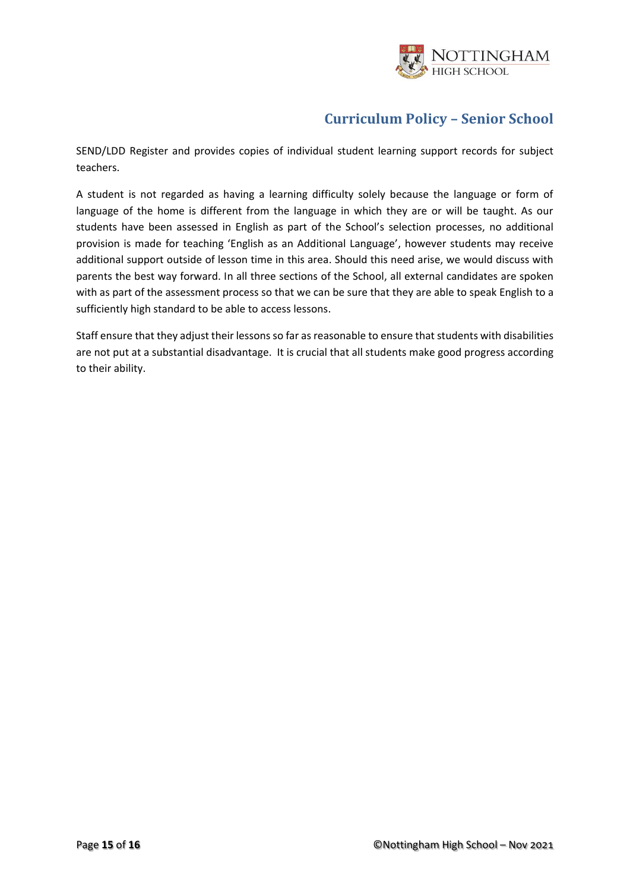

SEND/LDD Register and provides copies of individual student learning support records for subject teachers.

A student is not regarded as having a learning difficulty solely because the language or form of language of the home is different from the language in which they are or will be taught. As our students have been assessed in English as part of the School's selection processes, no additional provision is made for teaching 'English as an Additional Language', however students may receive additional support outside of lesson time in this area. Should this need arise, we would discuss with parents the best way forward. In all three sections of the School, all external candidates are spoken with as part of the assessment process so that we can be sure that they are able to speak English to a sufficiently high standard to be able to access lessons.

Staff ensure that they adjust their lessons so far as reasonable to ensure that students with disabilities are not put at a substantial disadvantage. It is crucial that all students make good progress according to their ability.